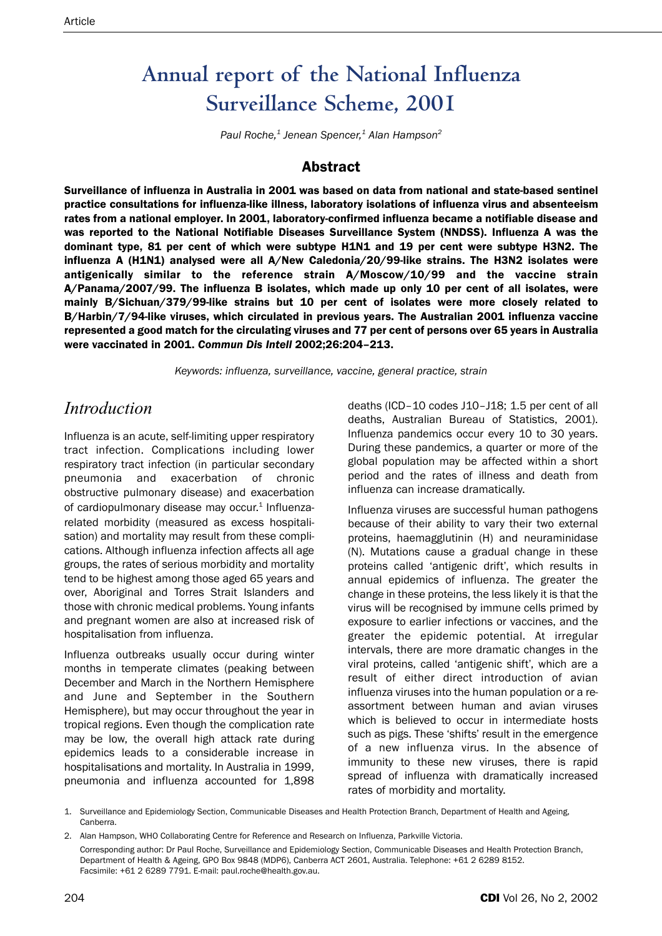# **Annual report of the National Influenza Surveillance Scheme, 2001**

*Paul Roche,1 Jenean Spencer,1 Alan Hampson2*

# **Abstract**

Surveillance of influenza in Australia in 2001 was based on data from national and state-based sentinel practice consultations for influenza-like illness, laboratory isolations of influenza virus and absenteeism rates from a national employer. In 2001, laboratory-confirmed influenza became a notifiable disease and was reported to the National Notifiable Diseases Surveillance System (NNDSS). Influenza A was the dominant type, 81 per cent of which were subtype H1N1 and 19 per cent were subtype H3N2. The influenza A (H1N1) analysed were all A/New Caledonia/20/99-like strains. The H3N2 isolates were antigenically similar to the reference strain A/Moscow/10/99 and the vaccine strain A/Panama/2007/99. The influenza B isolates, which made up only 10 per cent of all isolates, were mainly B/Sichuan/379/99-like strains but 10 per cent of isolates were more closely related to B/Harbin/7/94-like viruses, which circulated in previous years. The Australian 2001 influenza vaccine represented a good match for the circulating viruses and 77 per cent of persons over 65 years in Australia were vaccinated in 2001. *Commun Dis Intell* 2002;26:204–213.

*Keywords: influenza, surveillance, vaccine, general practice, strain*

# *Introduction*

Influenza is an acute, self-limiting upper respiratory tract infection. Complications including lower respiratory tract infection (in particular secondary pneumonia and exacerbation of chronic obstructive pulmonary disease) and exacerbation of cardiopulmonary disease may occur. $1$  Influenzarelated morbidity (measured as excess hospitalisation) and mortality may result from these complications. Although influenza infection affects all age groups, the rates of serious morbidity and mortality tend to be highest among those aged 65 years and over, Aboriginal and Torres Strait Islanders and those with chronic medical problems. Young infants and pregnant women are also at increased risk of hospitalisation from influenza.

Influenza outbreaks usually occur during winter months in temperate climates (peaking between December and March in the Northern Hemisphere and June and September in the Southern Hemisphere), but may occur throughout the year in tropical regions. Even though the complication rate may be low, the overall high attack rate during epidemics leads to a considerable increase in hospitalisations and mortality. In Australia in 1999, pneumonia and influenza accounted for 1,898 deaths (ICD–10 codes J10–J18; 1.5 per cent of all deaths, Australian Bureau of Statistics, 2001). Influenza pandemics occur every 10 to 30 years. During these pandemics, a quarter or more of the global population may be affected within a short period and the rates of illness and death from influenza can increase dramatically.

Influenza viruses are successful human pathogens because of their ability to vary their two external proteins, haemagglutinin (H) and neuraminidase (N). Mutations cause a gradual change in these proteins called 'antigenic drift', which results in annual epidemics of influenza. The greater the change in these proteins, the less likely it is that the virus will be recognised by immune cells primed by exposure to earlier infections or vaccines, and the greater the epidemic potential. At irregular intervals, there are more dramatic changes in the viral proteins, called 'antigenic shift', which are a result of either direct introduction of avian influenza viruses into the human population or a reassortment between human and avian viruses which is believed to occur in intermediate hosts such as pigs. These 'shifts' result in the emergence of a new influenza virus. In the absence of immunity to these new viruses, there is rapid spread of influenza with dramatically increased rates of morbidity and mortality.

<sup>1.</sup> Surveillance and Epidemiology Section, Communicable Diseases and Health Protection Branch, Department of Health and Ageing, Canberra.

<sup>2.</sup> Alan Hampson, WHO Collaborating Centre for Reference and Research on Influenza, Parkville Victoria. Corresponding author: Dr Paul Roche, Surveillance and Epidemiology Section, Communicable Diseases and Health Protection Branch, Department of Health & Ageing, GPO Box 9848 (MDP6), Canberra ACT 2601, Australia. Telephone: +61 2 6289 8152. Facsimile: +61 2 6289 7791. E-mail: paul.roche@health.gov.au.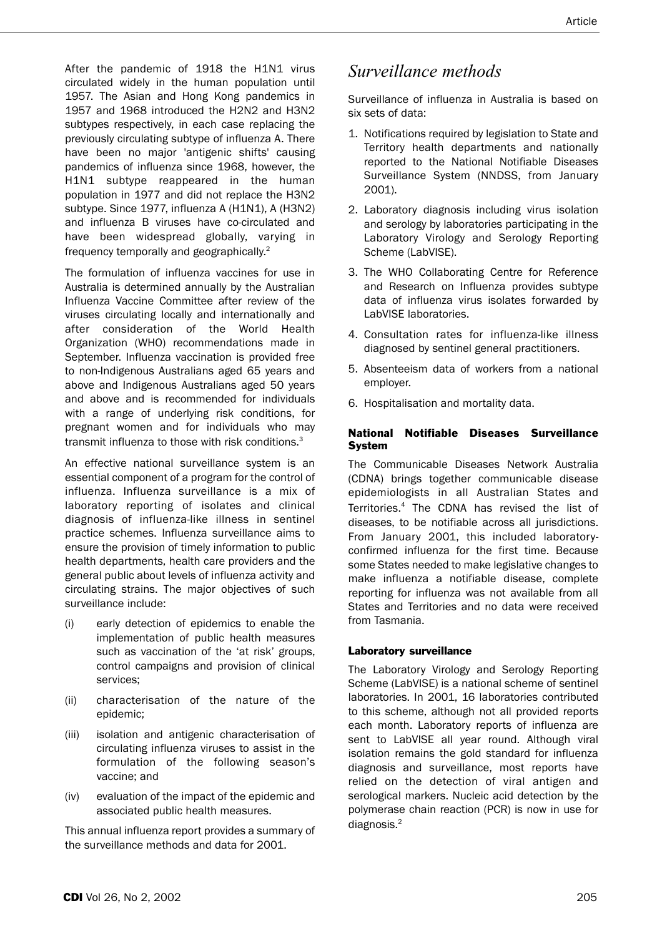After the pandemic of 1918 the H1N1 virus circulated widely in the human population until 1957. The Asian and Hong Kong pandemics in 1957 and 1968 introduced the H2N2 and H3N2 subtypes respectively, in each case replacing the previously circulating subtype of influenza A. There have been no major 'antigenic shifts' causing pandemics of influenza since 1968, however, the H1N1 subtype reappeared in the human population in 1977 and did not replace the H3N2 subtype. Since 1977, influenza A (H1N1), A (H3N2) and influenza B viruses have co-circulated and have been widespread globally, varying in frequency temporally and geographically.2

The formulation of influenza vaccines for use in Australia is determined annually by the Australian Influenza Vaccine Committee after review of the viruses circulating locally and internationally and after consideration of the World Health Organization (WHO) recommendations made in September. Influenza vaccination is provided free to non-Indigenous Australians aged 65 years and above and Indigenous Australians aged 50 years and above and is recommended for individuals with a range of underlying risk conditions, for pregnant women and for individuals who may transmit influenza to those with risk conditions.<sup>3</sup>

An effective national surveillance system is an essential component of a program for the control of influenza. Influenza surveillance is a mix of laboratory reporting of isolates and clinical diagnosis of influenza-like illness in sentinel practice schemes. Influenza surveillance aims to ensure the provision of timely information to public health departments, health care providers and the general public about levels of influenza activity and circulating strains. The major objectives of such surveillance include:

- (i) early detection of epidemics to enable the implementation of public health measures such as vaccination of the 'at risk' groups, control campaigns and provision of clinical services;
- (ii) characterisation of the nature of the epidemic;
- (iii) isolation and antigenic characterisation of circulating influenza viruses to assist in the formulation of the following season's vaccine; and
- (iv) evaluation of the impact of the epidemic and associated public health measures.

This annual influenza report provides a summary of the surveillance methods and data for 2001.

# *Surveillance methods*

Surveillance of influenza in Australia is based on six sets of data:

- 1. Notifications required by legislation to State and Territory health departments and nationally reported to the National Notifiable Diseases Surveillance System (NNDSS, from January 2001).
- 2. Laboratory diagnosis including virus isolation and serology by laboratories participating in the Laboratory Virology and Serology Reporting Scheme (LabVISE).
- 3. The WHO Collaborating Centre for Reference and Research on Influenza provides subtype data of influenza virus isolates forwarded by LabVISE laboratories.
- 4. Consultation rates for influenza-like illness diagnosed by sentinel general practitioners.
- 5. Absenteeism data of workers from a national employer.
- 6. Hospitalisation and mortality data.

### National Notifiable Diseases Surveillance System

The Communicable Diseases Network Australia (CDNA) brings together communicable disease epidemiologists in all Australian States and Territories.4 The CDNA has revised the list of diseases, to be notifiable across all jurisdictions. From January 2001, this included laboratoryconfirmed influenza for the first time. Because some States needed to make legislative changes to make influenza a notifiable disease, complete reporting for influenza was not available from all States and Territories and no data were received from Tasmania.

### Laboratory surveillance

The Laboratory Virology and Serology Reporting Scheme (LabVISE) is a national scheme of sentinel laboratories. In 2001, 16 laboratories contributed to this scheme, although not all provided reports each month. Laboratory reports of influenza are sent to LabVISE all year round. Although viral isolation remains the gold standard for influenza diagnosis and surveillance, most reports have relied on the detection of viral antigen and serological markers. Nucleic acid detection by the polymerase chain reaction (PCR) is now in use for diagnosis.<sup>2</sup>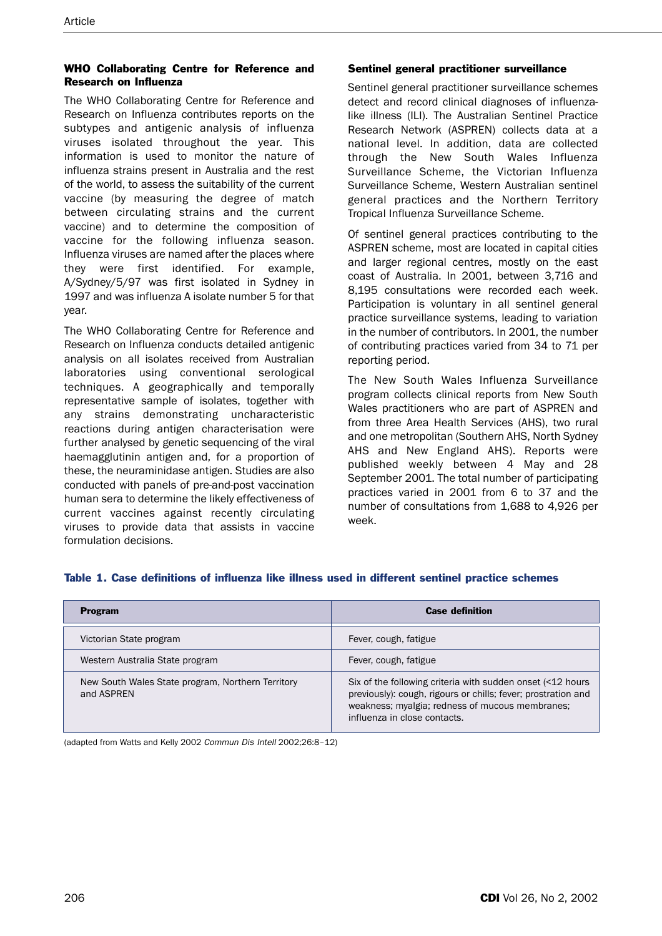## WHO Collaborating Centre for Reference and Research on Influenza

The WHO Collaborating Centre for Reference and Research on Influenza contributes reports on the subtypes and antigenic analysis of influenza viruses isolated throughout the year. This information is used to monitor the nature of influenza strains present in Australia and the rest of the world, to assess the suitability of the current vaccine (by measuring the degree of match between circulating strains and the current vaccine) and to determine the composition of vaccine for the following influenza season. Influenza viruses are named after the places where they were first identified. For example, A/Sydney/5/97 was first isolated in Sydney in 1997 and was influenza A isolate number 5 for that year.

The WHO Collaborating Centre for Reference and Research on Influenza conducts detailed antigenic analysis on all isolates received from Australian laboratories using conventional serological techniques. A geographically and temporally representative sample of isolates, together with any strains demonstrating uncharacteristic reactions during antigen characterisation were further analysed by genetic sequencing of the viral haemagglutinin antigen and, for a proportion of these, the neuraminidase antigen. Studies are also conducted with panels of pre-and-post vaccination human sera to determine the likely effectiveness of current vaccines against recently circulating viruses to provide data that assists in vaccine formulation decisions.

#### Sentinel general practitioner surveillance

Sentinel general practitioner surveillance schemes detect and record clinical diagnoses of influenzalike illness (ILI). The Australian Sentinel Practice Research Network (ASPREN) collects data at a national level. In addition, data are collected through the New South Wales Influenza Surveillance Scheme, the Victorian Influenza Surveillance Scheme, Western Australian sentinel general practices and the Northern Territory Tropical Influenza Surveillance Scheme.

Of sentinel general practices contributing to the ASPREN scheme, most are located in capital cities and larger regional centres, mostly on the east coast of Australia. In 2001, between 3,716 and 8,195 consultations were recorded each week. Participation is voluntary in all sentinel general practice surveillance systems, leading to variation in the number of contributors. In 2001, the number of contributing practices varied from 34 to 71 per reporting period.

The New South Wales Influenza Surveillance program collects clinical reports from New South Wales practitioners who are part of ASPREN and from three Area Health Services (AHS), two rural and one metropolitan (Southern AHS, North Sydney AHS and New England AHS). Reports were published weekly between 4 May and 28 September 2001. The total number of participating practices varied in 2001 from 6 to 37 and the number of consultations from 1,688 to 4,926 per week.

| <b>Program</b>                                                  | <b>Case definition</b>                                                                                                                                                                                         |  |  |  |  |
|-----------------------------------------------------------------|----------------------------------------------------------------------------------------------------------------------------------------------------------------------------------------------------------------|--|--|--|--|
| Victorian State program                                         | Fever, cough, fatigue                                                                                                                                                                                          |  |  |  |  |
| Western Australia State program                                 | Fever, cough, fatigue                                                                                                                                                                                          |  |  |  |  |
| New South Wales State program, Northern Territory<br>and ASPREN | Six of the following criteria with sudden onset (<12 hours<br>previously): cough, rigours or chills; fever; prostration and<br>weakness; myalgia; redness of mucous membranes;<br>influenza in close contacts. |  |  |  |  |

## Table 1. Case definitions of influenza like illness used in different sentinel practice schemes

(adapted from Watts and Kelly 2002 Commun Dis Intell 2002;26:8–12)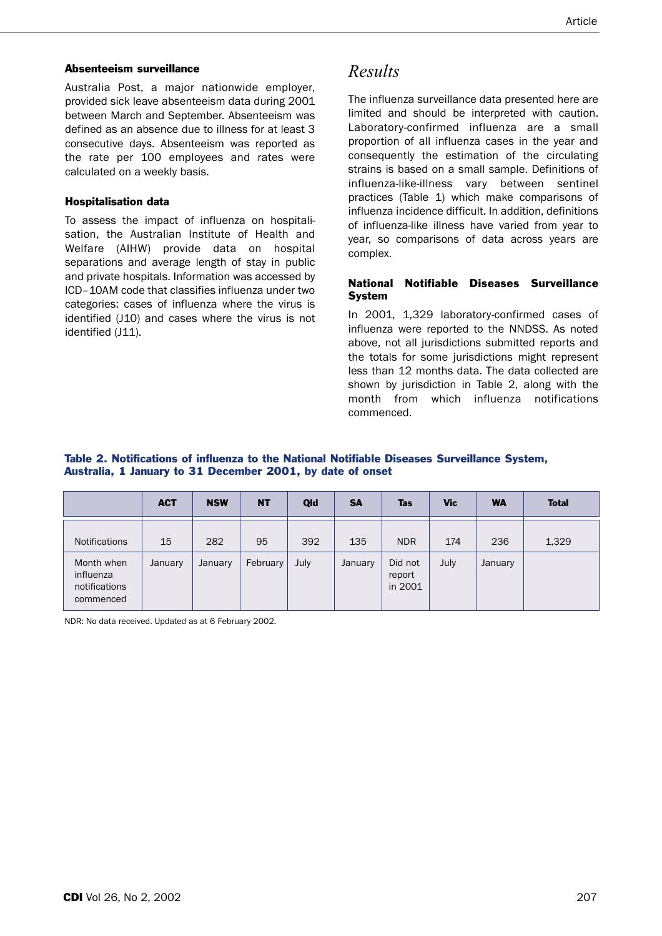#### Absenteeism surveillance

Australia Post, a major nationwide employer, provided sick leave absenteeism data during 2001 between March and September. Absenteeism was defined as an absence due to illness for at least 3 consecutive days. Absenteeism was reported as the rate per 100 employees and rates were calculated on a weekly basis.

#### Hospitalisation data

To assess the impact of influenza on hospitalisation, the Australian Institute of Health and Welfare (AIHW) provide data on hospital separations and average length of stay in public and private hospitals. Information was accessed by ICD–10AM code that classifies influenza under two categories: cases of influenza where the virus is identified (J10) and cases where the virus is not identified (J11).

# *Results*

The influenza surveillance data presented here are limited and should be interpreted with caution. Laboratory-confirmed influenza are a small proportion of all influenza cases in the year and consequently the estimation of the circulating strains is based on a small sample. Definitions of influenza-like-illness vary between sentinel practices (Table 1) which make comparisons of influenza incidence difficult. In addition, definitions of influenza-like illness have varied from year to year, so comparisons of data across years are complex.

#### National Notifiable Diseases Surveillance System

In 2001, 1,329 laboratory-confirmed cases of influenza were reported to the NNDSS. As noted above, not all jurisdictions submitted reports and the totals for some jurisdictions might represent less than 12 months data. The data collected are shown by jurisdiction in Table 2, along with the month from which influenza notifications commenced.

#### Table 2. Notifications of influenza to the National Notifiable Diseases Surveillance System, Australia, 1 January to 31 December 2001, by date of onset

|                                                       | <b>ACT</b> | <b>NSW</b> | <b>NT</b> | Qld  | <b>SA</b> | <b>Tas</b>                   | <b>Vic</b> | <b>WA</b> | <b>Total</b> |
|-------------------------------------------------------|------------|------------|-----------|------|-----------|------------------------------|------------|-----------|--------------|
| <b>Notifications</b>                                  | 15         | 282        | 95        | 392  | 135       | <b>NDR</b>                   | 174        | 236       | 1,329        |
| Month when<br>influenza<br>notifications<br>commenced | January    | January    | February  | July | January   | Did not<br>report<br>in 2001 | July       | January   |              |

NDR: No data received. Updated as at 6 February 2002.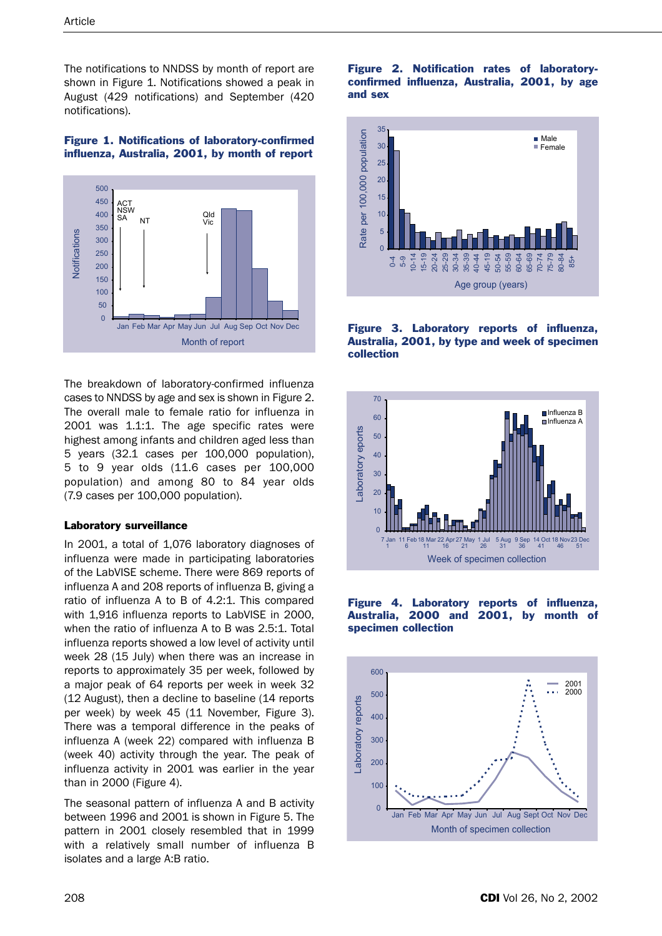The notifications to NNDSS by month of report are shown in Figure 1. Notifications showed a peak in August (429 notifications) and September (420 notifications).

# Figure 1. Notifications of laboratory-confirmed influenza, Australia, 2001, by month of report



The breakdown of laboratory-confirmed influenza cases to NNDSS by age and sex is shown in Figure 2. The overall male to female ratio for influenza in 2001 was 1.1:1. The age specific rates were highest among infants and children aged less than 5 years (32.1 cases per 100,000 population), 5 to 9 year olds (11.6 cases per 100,000 population) and among 80 to 84 year olds (7.9 cases per 100,000 population).

### Laboratory surveillance

In 2001, a total of 1,076 laboratory diagnoses of influenza were made in participating laboratories of the LabVISE scheme. There were 869 reports of influenza A and 208 reports of influenza B, giving a ratio of influenza A to B of 4.2:1. This compared with 1,916 influenza reports to LabVISE in 2000, when the ratio of influenza A to B was 2.5:1. Total influenza reports showed a low level of activity until week 28 (15 July) when there was an increase in reports to approximately 35 per week, followed by a major peak of 64 reports per week in week 32 (12 August), then a decline to baseline (14 reports per week) by week 45 (11 November, Figure 3). There was a temporal difference in the peaks of influenza A (week 22) compared with influenza B (week 40) activity through the year. The peak of influenza activity in 2001 was earlier in the year than in 2000 (Figure 4).

The seasonal pattern of influenza A and B activity between 1996 and 2001 is shown in Figure 5. The pattern in 2001 closely resembled that in 1999 with a relatively small number of influenza B isolates and a large A:B ratio.

#### Figure 2. Notification rates of laboratoryconfirmed influenza, Australia, 2001, by age and sex









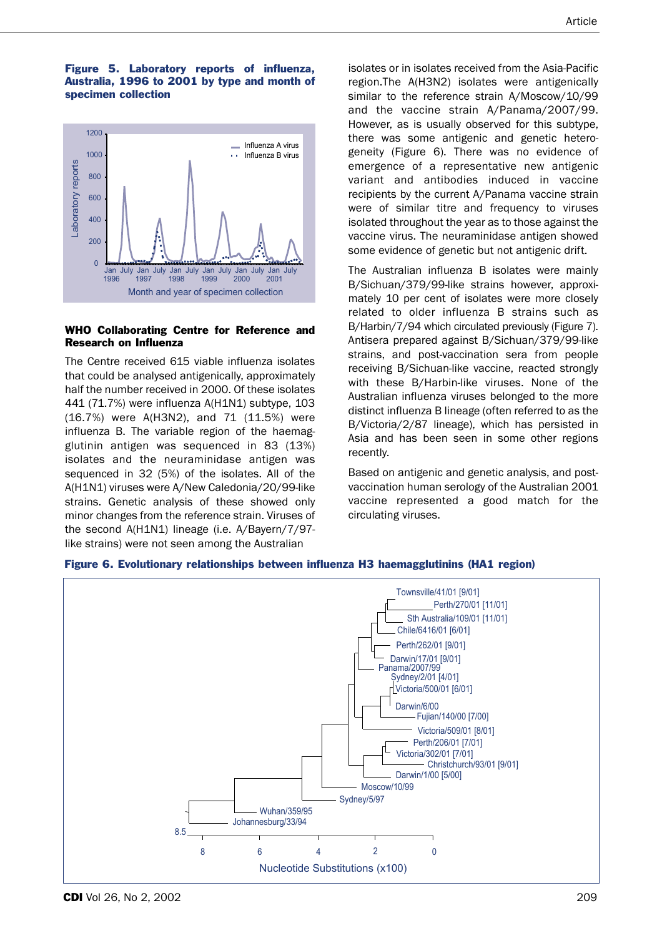#### Figure 5. Laboratory reports of influenza, Australia, 1996 to 2001 by type and month of specimen collection



#### WHO Collaborating Centre for Reference and Research on Influenza

The Centre received 615 viable influenza isolates that could be analysed antigenically, approximately half the number received in 2000. Of these isolates 441 (71.7%) were influenza A(H1N1) subtype, 103 (16.7%) were A(H3N2), and 71 (11.5%) were influenza B. The variable region of the haemagglutinin antigen was sequenced in 83 (13%) isolates and the neuraminidase antigen was sequenced in 32 (5%) of the isolates. All of the A(H1N1) viruses were A/New Caledonia/20/99-like strains. Genetic analysis of these showed only minor changes from the reference strain. Viruses of the second A(H1N1) lineage (i.e. A/Bayern/7/97 like strains) were not seen among the Australian

isolates or in isolates received from the Asia-Pacific region.The A(H3N2) isolates were antigenically similar to the reference strain A/Moscow/10/99 and the vaccine strain A/Panama/2007/99. However, as is usually observed for this subtype, there was some antigenic and genetic heterogeneity (Figure 6). There was no evidence of emergence of a representative new antigenic variant and antibodies induced in vaccine recipients by the current A/Panama vaccine strain were of similar titre and frequency to viruses isolated throughout the year as to those against the vaccine virus. The neuraminidase antigen showed some evidence of genetic but not antigenic drift.

The Australian influenza B isolates were mainly B/Sichuan/379/99-like strains however, approximately 10 per cent of isolates were more closely related to older influenza B strains such as B/Harbin/7/94 which circulated previously (Figure 7). Antisera prepared against B/Sichuan/379/99-like strains, and post-vaccination sera from people receiving B/Sichuan-like vaccine, reacted strongly with these B/Harbin-like viruses. None of the Australian influenza viruses belonged to the more distinct influenza B lineage (often referred to as the B/Victoria/2/87 lineage), which has persisted in Asia and has been seen in some other regions recently.

Based on antigenic and genetic analysis, and postvaccination human serology of the Australian 2001 vaccine represented a good match for the circulating viruses.



Figure 6. Evolutionary relationships between influenza H3 haemagglutinins (HA1 region)

**CDI** Vol 26, No 2, 2002 **209**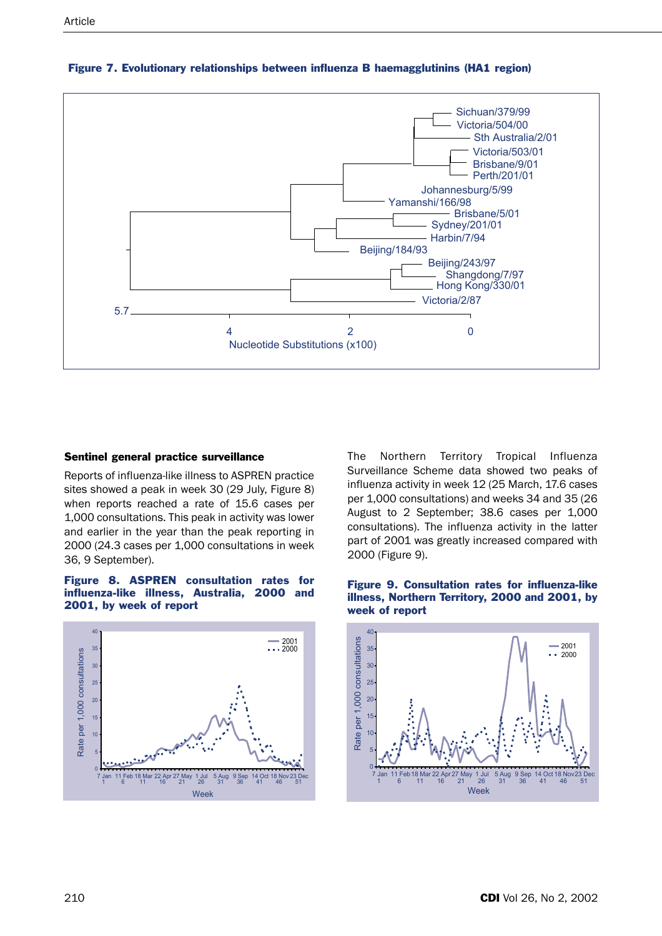

#### Figure 7. Evolutionary relationships between influenza B haemagglutinins (HA1 region)

#### Sentinel general practice surveillance

Reports of influenza-like illness to ASPREN practice sites showed a peak in week 30 (29 July, Figure 8) when reports reached a rate of 15.6 cases per 1,000 consultations. This peak in activity was lower and earlier in the year than the peak reporting in 2000 (24.3 cases per 1,000 consultations in week 36, 9 September).

#### Figure 8. ASPREN consultation rates for influenza-like illness, Australia, 2000 and 2001, by week of report



The Northern Territory Tropical Influenza Surveillance Scheme data showed two peaks of influenza activity in week 12 (25 March, 17.6 cases per 1,000 consultations) and weeks 34 and 35 (26 August to 2 September; 38.6 cases per 1,000 consultations). The influenza activity in the latter part of 2001 was greatly increased compared with 2000 (Figure 9).



#### Figure 9. Consultation rates for influenza-like illness, Northern Territory, 2000 and 2001, by week of report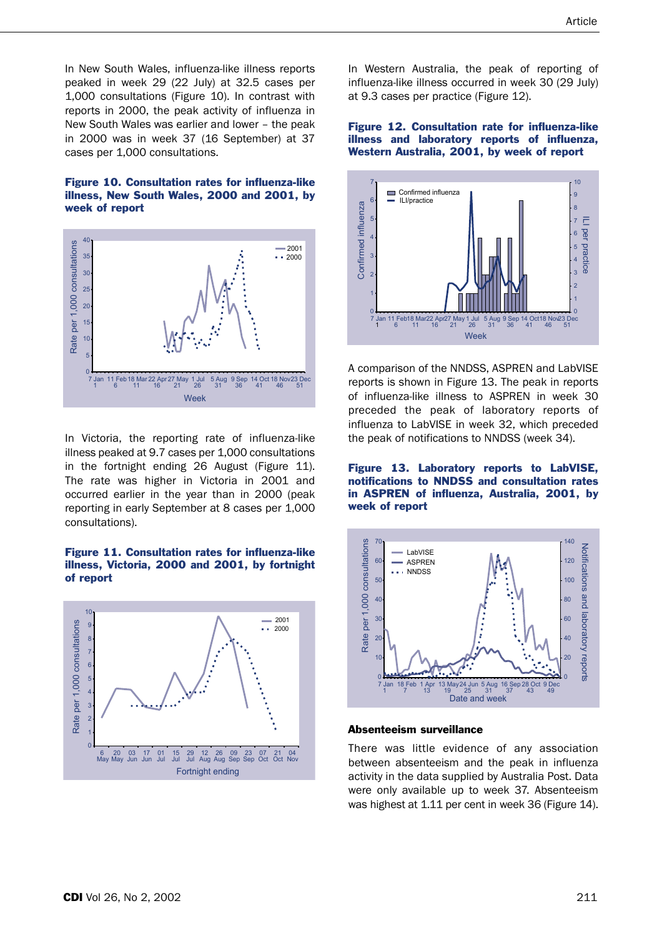In New South Wales, influenza-like illness reports peaked in week 29 (22 July) at 32.5 cases per 1,000 consultations (Figure 10). In contrast with reports in 2000, the peak activity of influenza in New South Wales was earlier and lower – the peak in 2000 was in week 37 (16 September) at 37 cases per 1,000 consultations.

#### Figure 10. Consultation rates for influenza-like illness, New South Wales, 2000 and 2001, by week of report



In Victoria, the reporting rate of influenza-like illness peaked at 9.7 cases per 1,000 consultations in the fortnight ending 26 August (Figure 11). The rate was higher in Victoria in 2001 and occurred earlier in the year than in 2000 (peak reporting in early September at 8 cases per 1,000 consultations).

#### Figure 11. Consultation rates for influenza-like illness, Victoria, 2000 and 2001, by fortnight of report



In Western Australia, the peak of reporting of influenza-like illness occurred in week 30 (29 July) at 9.3 cases per practice (Figure 12).

#### Figure 12. Consultation rate for influenza-like illness and laboratory reports of influenza, Western Australia, 2001, by week of report



A comparison of the NNDSS, ASPREN and LabVISE reports is shown in Figure 13. The peak in reports of influenza-like illness to ASPREN in week 30 preceded the peak of laboratory reports of influenza to LabVISE in week 32, which preceded the peak of notifications to NNDSS (week 34).

Figure 13. Laboratory reports to LabVISE, notifications to NNDSS and consultation rates in ASPREN of influenza, Australia, 2001, by week of report



#### Absenteeism surveillance

There was little evidence of any association between absenteeism and the peak in influenza activity in the data supplied by Australia Post. Data were only available up to week 37. Absenteeism was highest at 1.11 per cent in week 36 (Figure 14).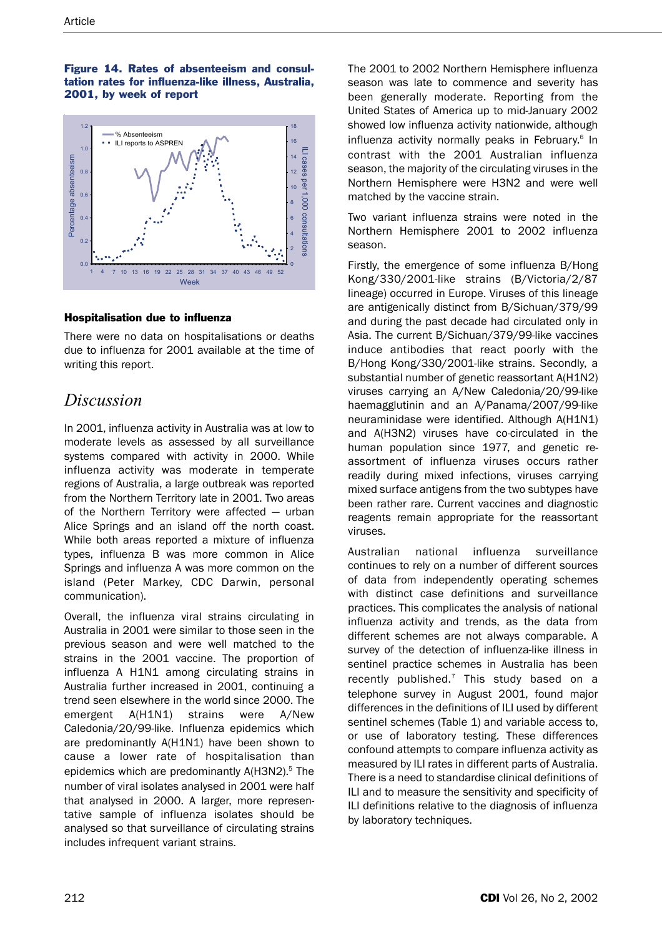Figure 14. Rates of absenteeism and consultation rates for influenza-like illness, Australia, 2001, by week of report



## Hospitalisation due to influenza

There were no data on hospitalisations or deaths due to influenza for 2001 available at the time of writing this report.

# *Discussion*

In 2001, influenza activity in Australia was at low to moderate levels as assessed by all surveillance systems compared with activity in 2000. While influenza activity was moderate in temperate regions of Australia, a large outbreak was reported from the Northern Territory late in 2001. Two areas of the Northern Territory were affected — urban Alice Springs and an island off the north coast. While both areas reported a mixture of influenza types, influenza B was more common in Alice Springs and influenza A was more common on the island (Peter Markey, CDC Darwin, personal communication).

Overall, the influenza viral strains circulating in Australia in 2001 were similar to those seen in the previous season and were well matched to the strains in the 2001 vaccine. The proportion of influenza A H1N1 among circulating strains in Australia further increased in 2001, continuing a trend seen elsewhere in the world since 2000. The emergent A(H1N1) strains were A/New Caledonia/20/99-like. Influenza epidemics which are predominantly A(H1N1) have been shown to cause a lower rate of hospitalisation than epidemics which are predominantly  $A(H3N2)$ .<sup>5</sup> The number of viral isolates analysed in 2001 were half that analysed in 2000. A larger, more representative sample of influenza isolates should be analysed so that surveillance of circulating strains includes infrequent variant strains.

The 2001 to 2002 Northern Hemisphere influenza season was late to commence and severity has been generally moderate. Reporting from the United States of America up to mid-January 2002 showed low influenza activity nationwide, although influenza activity normally peaks in February.<sup>6</sup> In contrast with the 2001 Australian influenza season, the majority of the circulating viruses in the Northern Hemisphere were H3N2 and were well matched by the vaccine strain.

Two variant influenza strains were noted in the Northern Hemisphere 2001 to 2002 influenza season.

Firstly, the emergence of some influenza B/Hong Kong/330/2001-like strains (B/Victoria/2/87 lineage) occurred in Europe. Viruses of this lineage are antigenically distinct from B/Sichuan/379/99 and during the past decade had circulated only in Asia. The current B/Sichuan/379/99-like vaccines induce antibodies that react poorly with the B/Hong Kong/330/2001-like strains. Secondly, a substantial number of genetic reassortant A(H1N2) viruses carrying an A/New Caledonia/20/99-like haemagglutinin and an A/Panama/2007/99-like neuraminidase were identified. Although A(H1N1) and A(H3N2) viruses have co-circulated in the human population since 1977, and genetic reassortment of influenza viruses occurs rather readily during mixed infections, viruses carrying mixed surface antigens from the two subtypes have been rather rare. Current vaccines and diagnostic reagents remain appropriate for the reassortant viruses.

Australian national influenza surveillance continues to rely on a number of different sources of data from independently operating schemes with distinct case definitions and surveillance practices. This complicates the analysis of national influenza activity and trends, as the data from different schemes are not always comparable. A survey of the detection of influenza-like illness in sentinel practice schemes in Australia has been recently published. $^7$  This study based on a telephone survey in August 2001, found major differences in the definitions of ILI used by different sentinel schemes (Table 1) and variable access to, or use of laboratory testing. These differences confound attempts to compare influenza activity as measured by ILI rates in different parts of Australia. There is a need to standardise clinical definitions of ILI and to measure the sensitivity and specificity of ILI definitions relative to the diagnosis of influenza by laboratory techniques.